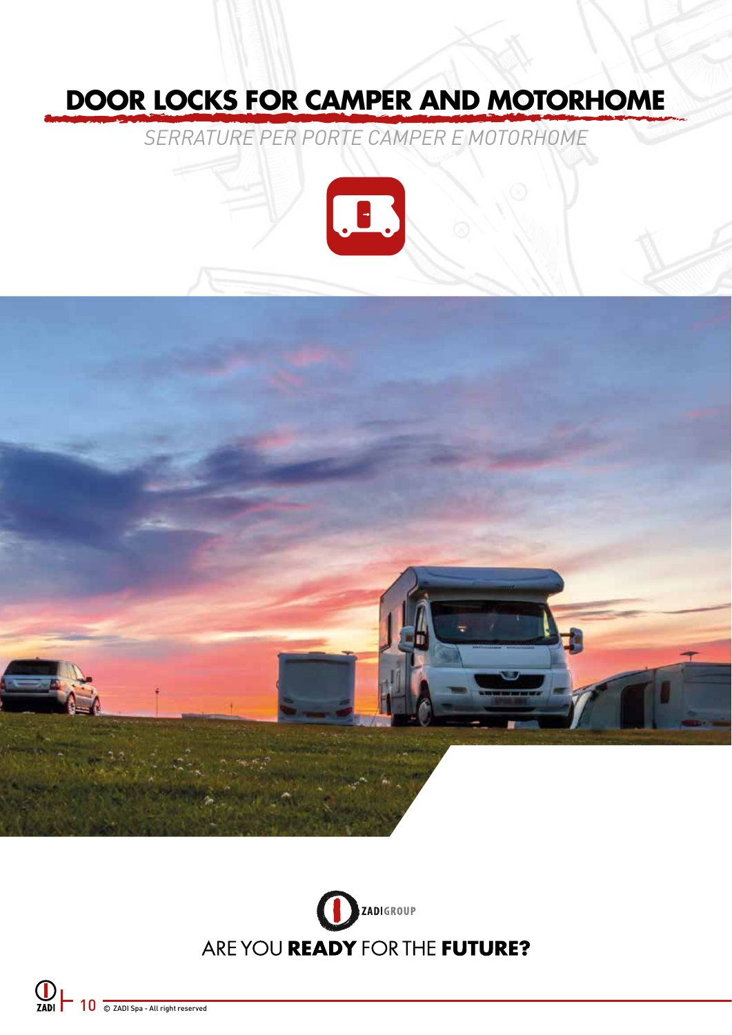# **DOOR LOCKS FOR CAMPER AND MOTORHOME**

*SERRATURE PER PORTE CAMPER E MOTORHOME*





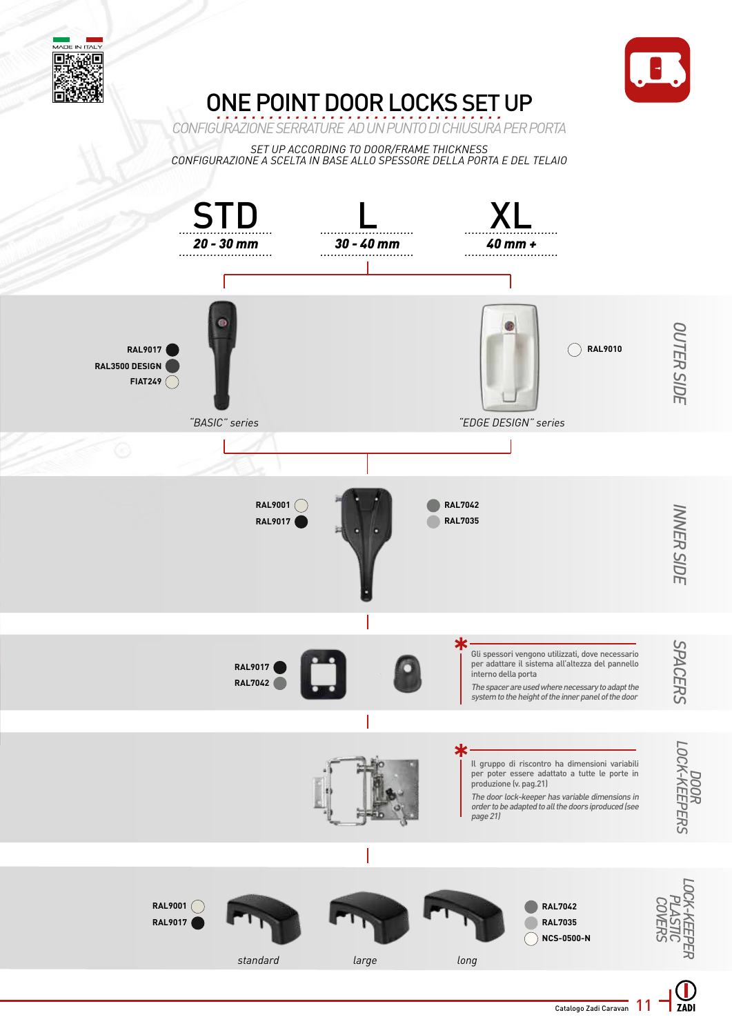



## ONE POINT DOOR LOCKS SET UP

*CONFIGURAZIONE SERRATURE AD UN PUNTO DI CHIUSURA PER PORTA*

*SET UP ACCORDING TO DOOR/FRAME THICKNESS CONFIGURAZIONE A SCELTA IN BASE ALLO SPESSORE DELLA PORTA E DEL TELAIO*



ZADI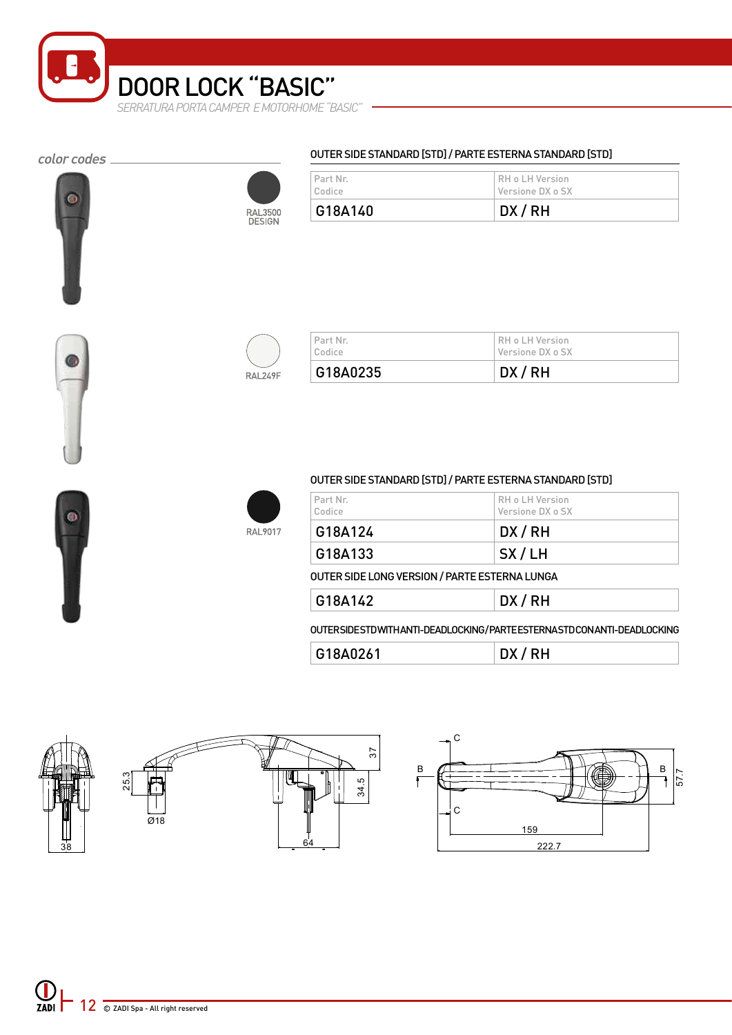

#### color codes \_





| Versione DX o SX<br>Codice | G18A140  | DX/RH           |  |
|----------------------------|----------|-----------------|--|
|                            | Part Nr. | RH o LH Version |  |

OUTER SIDE STANDARD [STD] / PARTE ESTERNA STANDARD [STD]



| Codice   | Versione DX o SX |  |
|----------|------------------|--|
| G18A0235 | DX/RH            |  |





#### OUTER SIDE STANDARD [STD] / PARTE ESTERNA STANDARD [STD]

| l Part Nr.<br>Codice | RH o LH Version <br>Versione DX o SX |
|----------------------|--------------------------------------|
| G18A124              | DX/RH                                |
| G18A133              | SX/LH                                |

OUTER SIDE LONG VERSION / PARTE ESTERNA LUNGA

|  | G18<br>11 <sup>0</sup> | .<br>$\cdots$ |
|--|------------------------|---------------|
|--|------------------------|---------------|

OUTER SIDE STD WITH ANTI-DEADLOCKING / PARTE ESTERNA STD CON ANTI-DEADLOCKING

| G18A0261 | DX/RH |
|----------|-------|
|----------|-------|



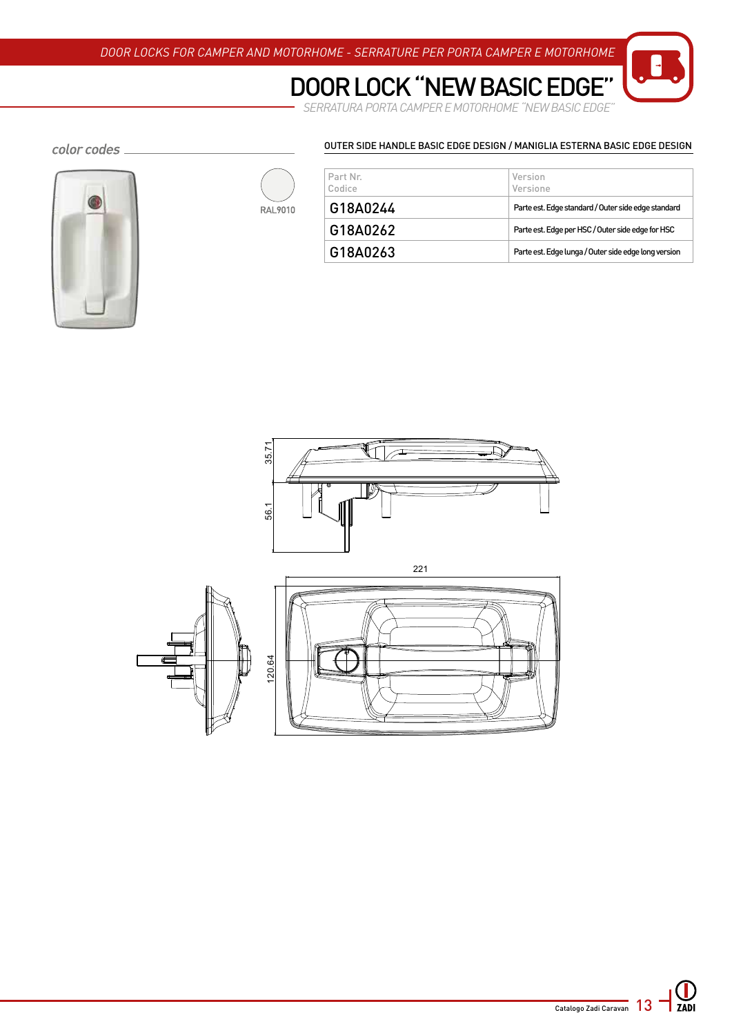### DOOR LOCK "NEW BASIC EDGE

SERRATURA PORTA CAMPER E MOTORHOME "NEW BASIC EDGE"

#### color codes \_





| Part Nr.<br>Codice | Version<br>Versione                                  |
|--------------------|------------------------------------------------------|
| G18A0244           | Parte est. Edge standard / Outer side edge standard  |
| G18A0262           | Parte est. Edge per HSC / Outer side edge for HSC    |
| G18A0263           | Parte est. Edge lunga / Outer side edge long version |

OUTER SIDE HANDLE BASIC EDGE DESIGN / MANIGLIA ESTERNA BASIC EDGE DESIGN

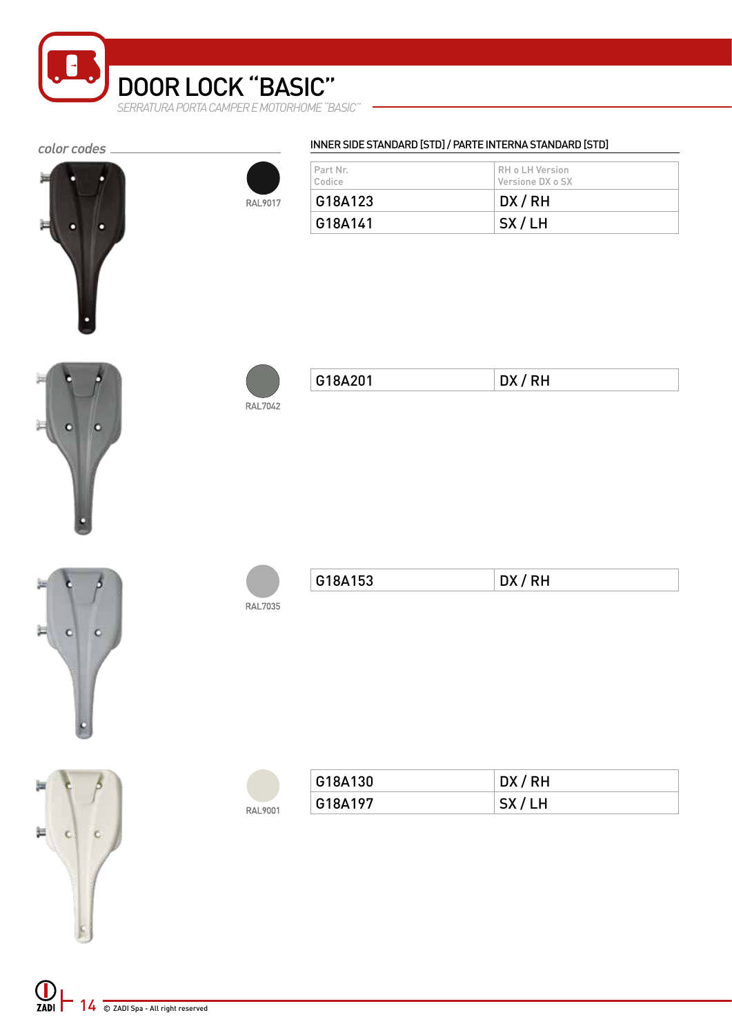

#### color codes \_





#### INNER SIDE STANDARD [STD] / PARTE INTERNA STANDARD [STD]

| Part Nr.<br>Codice | RH o LH Version<br>Versione DX o SX |
|--------------------|-------------------------------------|
| G18A123            | DX/RH                               |
| G18A141            | SX/LH                               |









运

 $\mathbf{C}$ 





| G18A201 | <b>RH</b> |
|---------|-----------|
|         |           |



| ., | .<br>$   -$ |
|----|-------------|
|----|-------------|

|         | G18A130 | DX/RH            |
|---------|---------|------------------|
| RAL9001 | G18A197 | <b>SX</b><br>'LΗ |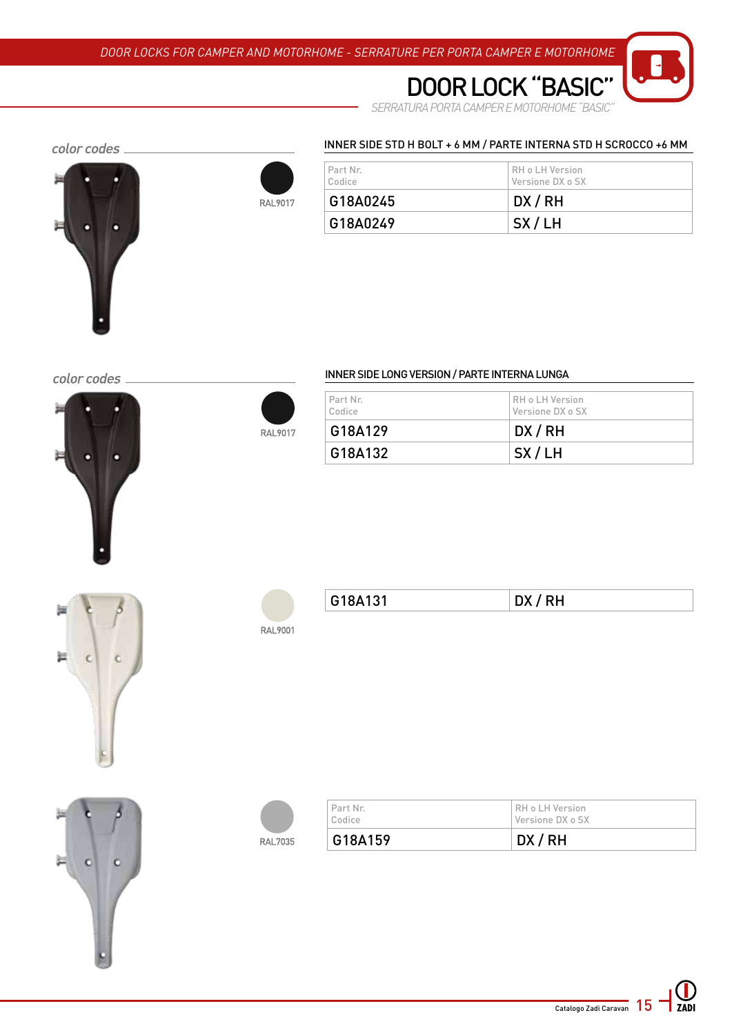

*SERRATURA PORTA CAMPER E MOTORHOME "BASIC"* DOOR LOCK "BASI

#### color codes





| l Part Nr.<br>Codice | I RH o LH Version<br>Versione DX o SX |
|----------------------|---------------------------------------|
| G18A0245             | DX/RH                                 |
|                      |                                       |

INNER SIDE STD H BOLT + 6 MM / PARTE INTERNA STD H SCROCCO +6 MM

color codes



#### INNER SIDE LONG VERSION / PARTE INTERNA LUNGA

| Part Nr.<br>Codice | RH o LH Version<br>Versione DX o SX |
|--------------------|-------------------------------------|
| G18A129            | DX/RH                               |
| G18A132            | SX/LH                               |





**RAL9017** 

| G18A131 | RH<br>$\mathbf{v}$ |
|---------|--------------------|
|         |                    |



| Codice<br>G18A159 | Versione DX o SX<br>DX/RH |
|-------------------|---------------------------|
| Part Nr.          | RH o LH Version           |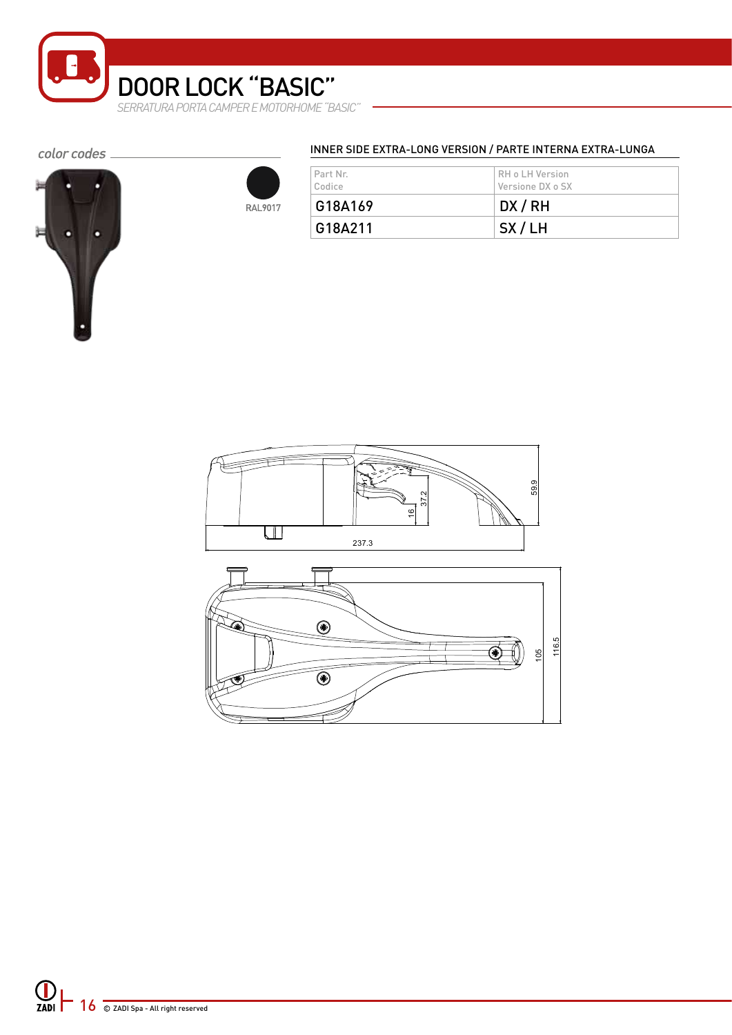

#### color codes \_





#### INNER SIDE EXTRA-LONG VERSION / PARTE INTERNA EXTRA-LUNGA

| Part Nr.<br>Codice | RH o LH Version<br>Versione DX o SX |
|--------------------|-------------------------------------|
| G18A169            | DX/RH                               |
| G18A211            | SX/LH                               |



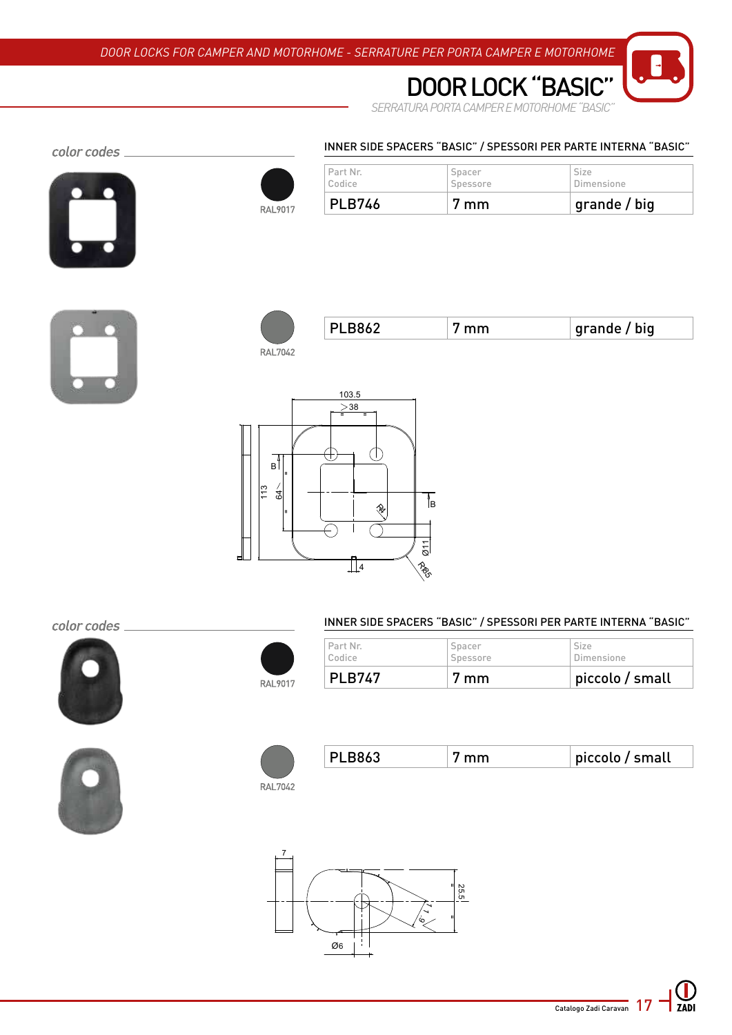

*SERRATURA PORTA CAMPER E MOTORHOME "BASIC"* DOOR LOCK "BA

#### INNER SIDE SPACERS "BASIC" / SPESSORI PER PARTE INTERNA "BASIC"



color codes \_



| <b>PLB746</b> | / mm     | grande / big |
|---------------|----------|--------------|
| Part Nr.      | Spacer   | Size         |
| Codice        | Spessore | Dimensione   |



|  |  |  | arande<br>big<br>anuc<br>ັງ |
|--|--|--|-----------------------------|
|--|--|--|-----------------------------|

**RAL7042** 



#### color codes





#### INNER SIDE SPACERS "BASIC" / SPESSORI PER PARTE INTERNA "BASIC"

| RAL9017 | <b>PLB747</b> | 7 mm     | piccolo / small |  |
|---------|---------------|----------|-----------------|--|
|         | Codice        | Spessore | Dimensione      |  |
|         | Part Nr.      | Spacer   | <b>Size</b>     |  |



|  |  |  | $^{\dagger}$ piccolo / small |
|--|--|--|------------------------------|
|--|--|--|------------------------------|

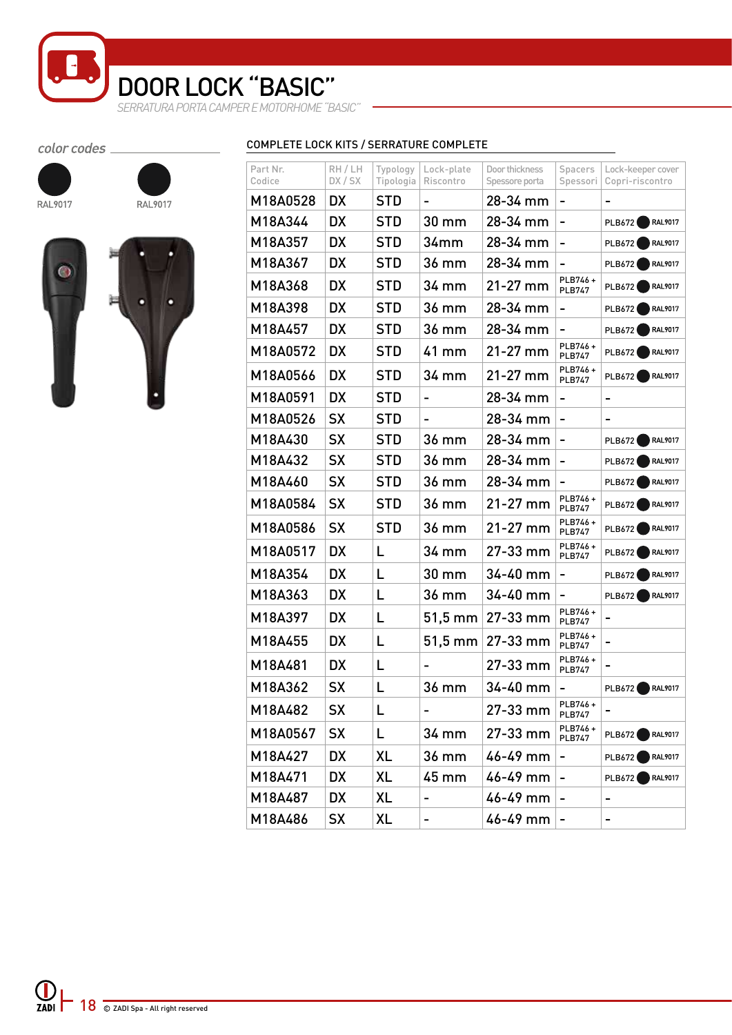*SERRATURA PORTA CAMPER E MOTORHOME "BASIC"* DOOR LOCK "BASIC"

#### color codes







RAL9017

| Part Nr.<br>Codice | RH / LH<br>DX / SX | Typology<br>Tipologia | Lock-plate<br>Riscontro | Door thickness<br>Spessore porta | Spacers<br>Spessori          | Lock-keeper cover<br>Copri-riscontro |
|--------------------|--------------------|-----------------------|-------------------------|----------------------------------|------------------------------|--------------------------------------|
| M18A0528           | DX.                | <b>STD</b>            |                         | 28-34 mm                         |                              |                                      |
| M18A344            | <b>DX</b>          | <b>STD</b>            | 30 mm                   | 28-34 mm                         | $\overline{a}$               | <b>RAL9017</b><br>PLB672             |
| M18A357            | <b>DX</b>          | <b>STD</b>            | 34 <sub>mm</sub>        | 28-34 mm                         | $\overline{\phantom{a}}$     | RAL9017<br><b>PLB672</b>             |
| M18A367            | <b>DX</b>          | <b>STD</b>            | 36 mm                   | 28-34 mm                         | $\qquad \qquad \blacksquare$ | RAL9017<br><b>PLB672</b>             |
| M18A368            | <b>DX</b>          | <b>STD</b>            | 34 mm                   | 21-27 mm                         | PLB746+<br><b>PLB747</b>     | PLB672<br><b>RAL9017</b>             |
| M18A398            | <b>DX</b>          | <b>STD</b>            | 36 mm                   | 28-34 mm                         | $\overline{\phantom{a}}$     | <b>RAL9017</b><br><b>PLB672</b>      |
| M18A457            | <b>DX</b>          | <b>STD</b>            | 36 mm                   | 28-34 mm                         | -                            | RAL9017<br>PLB672                    |
| M18A0572           | <b>DX</b>          | <b>STD</b>            | 41 mm                   | 21-27 mm                         | PLB746+<br><b>PLB747</b>     | RAL9017<br>PLB672                    |
| M18A0566           | <b>DX</b>          | <b>STD</b>            | 34 mm                   | 21-27 mm                         | PLB746+<br><b>PLB747</b>     | <b>RAL9017</b><br>PLB672             |
| M18A0591           | <b>DX</b>          | <b>STD</b>            | $\blacksquare$          | 28-34 mm                         | $\qquad \qquad -$            | -                                    |
| M18A0526           | <b>SX</b>          | <b>STD</b>            |                         | 28-34 mm                         | $\overline{a}$               |                                      |
| M18A430            | <b>SX</b>          | <b>STD</b>            | 36 mm                   | 28-34 mm                         | $\overline{a}$               | <b>RAL9017</b><br>PLB672             |
| M18A432            | <b>SX</b>          | <b>STD</b>            | 36 mm                   | 28-34 mm                         | -                            | <b>RAL9017</b><br>PLB672             |
| M18A460            | <b>SX</b>          | <b>STD</b>            | 36 mm                   | 28-34 mm                         |                              | RAL9017<br><b>PLB672</b>             |
| M18A0584           | <b>SX</b>          | <b>STD</b>            | 36 mm                   | $21 - 27$ mm                     | PLB746+<br><b>PLB747</b>     | <b>RAL9017</b><br>PLB672             |
| M18A0586           | <b>SX</b>          | <b>STD</b>            | 36 mm                   | $21 - 27$ mm                     | PLB746+<br><b>PLB747</b>     | RAL9017<br>PLB672                    |
| M18A0517           | <b>DX</b>          | L                     | 34 mm                   | 27-33 mm                         | PLB746+<br><b>PLB747</b>     | PLB672<br><b>RAL9017</b>             |
| M18A354            | <b>DX</b>          | L                     | 30 mm                   | 34-40 mm                         | $\overline{\phantom{a}}$     | <b>RAL9017</b><br><b>PLB672</b>      |
| M18A363            | <b>DX</b>          | L                     | 36 mm                   | 34-40 mm                         | $\qquad \qquad -$            | RAL9017<br>PLB672                    |
| M18A397            | <b>DX</b>          | L                     | 51,5 mm                 | 27-33 mm                         | PLB746+<br><b>PLB747</b>     | -                                    |
| M18A455            | <b>DX</b>          | L                     | $51,5 \text{ mm}$       | 27-33 mm                         | PLB746+<br><b>PLB747</b>     |                                      |
| M18A481            | <b>DX</b>          | L                     |                         | 27-33 mm                         | PLB746+<br><b>PLB747</b>     |                                      |
| M18A362            | <b>SX</b>          | L                     | 36 mm                   | 34-40 mm                         |                              | <b>RAL9017</b><br><b>PLB672</b>      |
| M18A482            | SX                 | L                     | -                       | 27-33 mm                         | PLB746+<br><b>PLB747</b>     |                                      |
| M18A0567           | SX                 | L                     | 34 mm                   | 27-33 mm                         | PLB746+<br><b>PLB747</b>     | <b>RAL9017</b><br>PLB672             |
| M18A427            | DX                 | XL                    | 36 mm                   | 46-49 mm                         | -                            | <b>RAL9017</b><br>PLB672             |
| M18A471            | DX                 | XL                    | 45 mm                   | 46-49 mm                         | ۰                            | <b>RAL9017</b><br>PLB672             |
| M18A487            | DX                 | XL                    |                         | 46-49 mm                         |                              |                                      |
| M18A486            | SX                 | XL                    |                         | 46-49 mm                         | ۰                            |                                      |

#### COMPLETE LOCK KITS / SERRATURE COMPLETE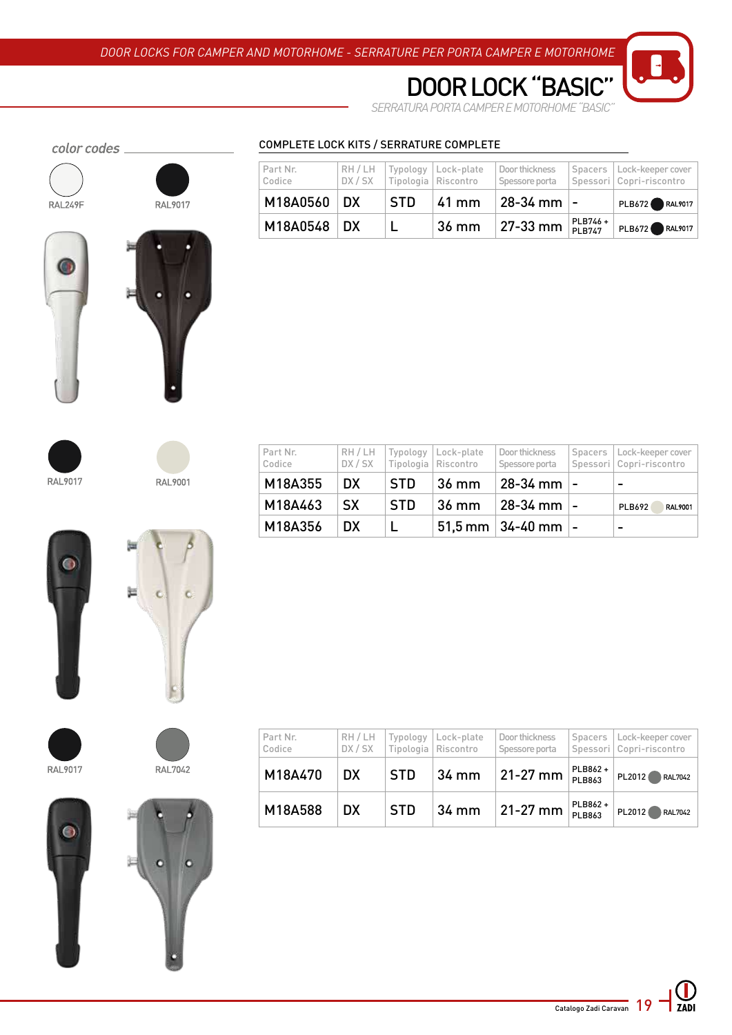

*SERRATURA PORTA CAMPER E MOTORHOME "BASIC"*

DOOR LOCK "BASI

#### color codes \_





#### COMPLETE LOCK KITS / SERRATURE COMPLETE

| Part Nr.<br>Codice | RH/LH<br>DX / SX |                 | Typology   Lock-plate<br>Tipologia Riscontro | Door thickness<br>Spessore porta |                           | Spacers   Lock-keeper cover<br>Spessori   Copri-riscontro |
|--------------------|------------------|-----------------|----------------------------------------------|----------------------------------|---------------------------|-----------------------------------------------------------|
| M18A0560 DX        |                  | <b>STD</b>      | ⊺41 mm                                       | ⊧ 28-34 mm  -                    |                           | PLB672 RAL9017                                            |
| M18A0548 DX        |                  | <b>PERSONAL</b> | 36 mm                                        | $27-33$ mm                       | PLB746+<br><b>PI B747</b> | PLB672 RAL9017                                            |





| Part Nr.<br>Codice |           |            | RH / LH   Typology   Lock-plate<br>DX / SX   Tipologia   Riscontro | Door thickness<br>Spessore porta   | Spacers   Lock-keeper cover<br>Spessori   Copri-riscontro |
|--------------------|-----------|------------|--------------------------------------------------------------------|------------------------------------|-----------------------------------------------------------|
| M18A355            | DX.       | ∣STD.      | ⊦36 mm                                                             | 28-34 mm  -                        | -                                                         |
| M18A463            | <b>SX</b> | <b>STD</b> | 36 mm                                                              | $28 - 34$ mm $-$                   | PLB692<br><b>RAL9001</b>                                  |
| M18A356            | DX.       |            |                                                                    | <sup>∣</sup> 51,5 mm   34-40 mm  − | -                                                         |











| Part Nr.<br>Codice | RH / LH<br>DX / SX | Typology   | Lock-plate<br>Tipologia   Riscontro | Door thickness<br>Spessore porta | Spacers                  | Lock-keeper cover  <br>Spessori   Copri-riscontro |
|--------------------|--------------------|------------|-------------------------------------|----------------------------------|--------------------------|---------------------------------------------------|
| M18A470            | DX                 | <b>STD</b> | 34 mm                               | $21 - 27$ mm                     | PLB862+<br>PLB863        | PL2012<br>RAL7042                                 |
| M18A588            | DX                 | <b>STD</b> | 34 mm                               | $21 - 27$ mm                     | PLB862+<br><b>PLB863</b> | PL2012<br>RAL7042                                 |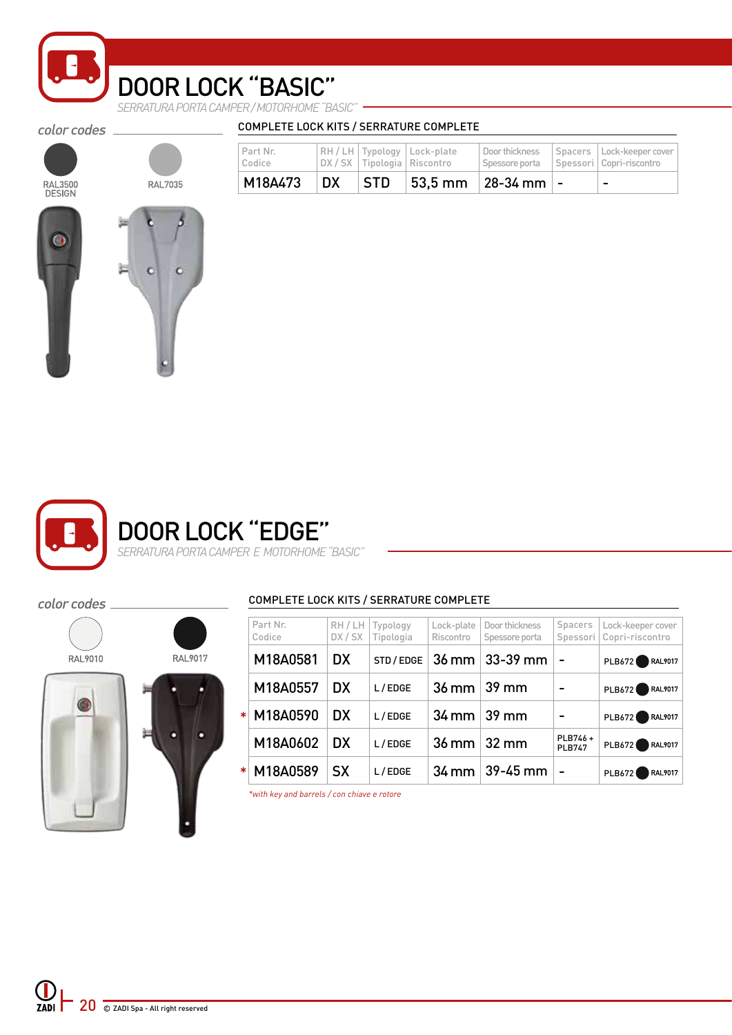

# DOOR LOCK "BASIC"

*SERRATURA PORTA CAMPER / MOTORHOME "BASIC"*

color codes \_

color codes

RAL9010

# RAL3500<br>DESIGN

| <b>RAL7035</b> |
|----------------|
|                |
|                |

| M18A473            | <b>DX</b> | <b>STD</b> |                                                                    | $ 53.5 \text{ mm} $ 28-34 mm $ -$ | $\overline{\phantom{0}}$                                  |
|--------------------|-----------|------------|--------------------------------------------------------------------|-----------------------------------|-----------------------------------------------------------|
| Part Nr.<br>Codice |           |            | RH / LH   Typology   Lock-plate<br>DX / SX   Tipologia   Riscontro | Door thickness<br>Spessore porta  | Spacers   Lock-keeper cover<br>Spessori   Copri-riscontro |



#### COMPLETE LOCK KITS / SERRATURE COMPLETE

COMPLETE LOCK KITS / SERRATURE COMPLETE

|         |        | Part Nr. | RH / LH   | Typology   | Lock-plate           | Door thickness        | Spacers                  | Lock-keeper cover          |
|---------|--------|----------|-----------|------------|----------------------|-----------------------|--------------------------|----------------------------|
|         |        | Codice   | DX/SX     | Tipologia  | Riscontro            | Spessore porta        |                          | Spessori   Copri-riscontro |
| RAL9017 |        | M18A0581 | <b>DX</b> | STD / EDGE | 36 mm                | $33-39$ mm            | $\blacksquare$           | RAL9017<br><b>PLB672</b>   |
| п       |        | M18A0557 | <b>DX</b> | L/EDGE     | $36$ mm $\mid$ 39 mm |                       |                          | RAL9017<br><b>PLB672</b>   |
|         | $\ast$ | M18A0590 | <b>DX</b> | L/EDGE     |                      | $34$ mm $\vert 39$ mm |                          | RAL9017<br><b>PLB672</b>   |
| о       |        | M18A0602 | <b>DX</b> | L/EDGE     |                      | $36$ mm $\vert$ 32 mm | PLB746+<br><b>PLB747</b> | RAL9017<br>PLB672          |
|         |        | M18A0589 | <b>SX</b> | L/EDGE     | 34 mm                | $39-45$ mm            | $\blacksquare$           | RAL9017<br>PLB672          |
|         |        |          |           |            |                      |                       |                          |                            |

*\*with key and barrels / con chiave e rotore*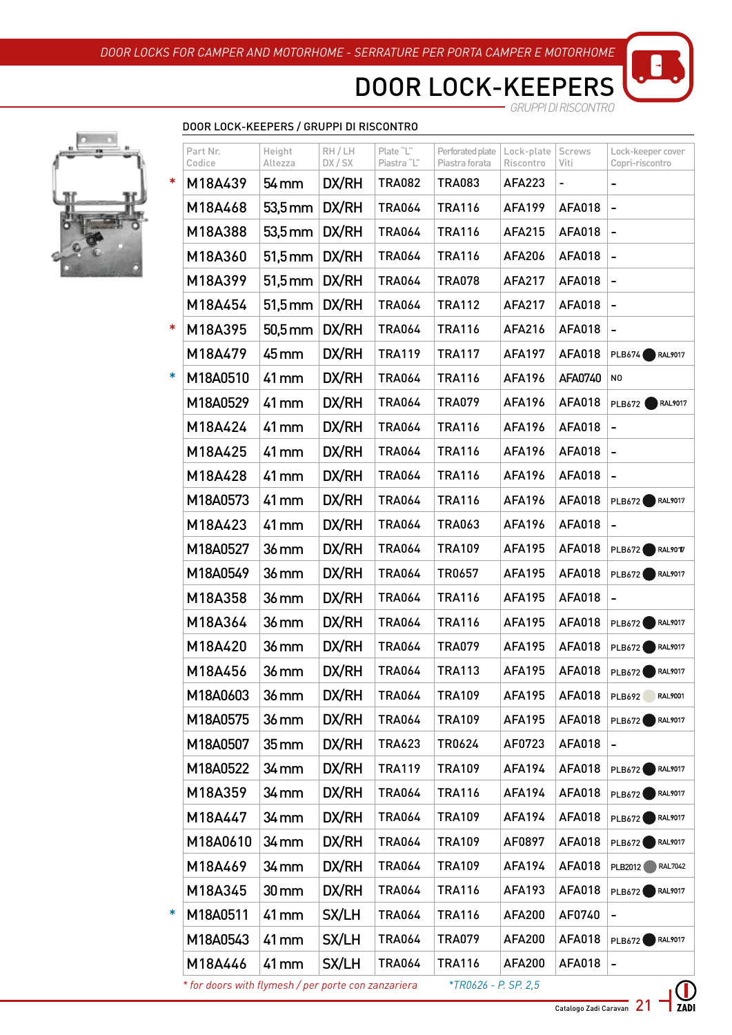DOOR LOCK-KEEPERS *GRUPPI DI RISCONTRO*



| Part Nr. | Height              | RH / LH | Plate "L"     | Perforated plate | Lock-plate    | Screws        | Lock-keeper cover                                   |
|----------|---------------------|---------|---------------|------------------|---------------|---------------|-----------------------------------------------------|
| Codice   | Altezza             | DX/SX   | Piastra "L"   | Piastra forata   | Riscontro     | Viti          | Copri-riscontro                                     |
| M18A439  | 54 mm               | DX/RH   | <b>TRA082</b> | <b>TRA083</b>    | AFA223        | ÷,            |                                                     |
| M18A468  | $53,5 \, \text{mm}$ | DX/RH   | <b>TRA064</b> | <b>TRA116</b>    | <b>AFA199</b> | <b>AFA018</b> | -                                                   |
| M18A388  | $53,5 \, \text{mm}$ | DX/RH   | <b>TRA064</b> | <b>TRA116</b>    | <b>AFA215</b> | <b>AFA018</b> | -                                                   |
| M18A360  | $51,5$ mm           | DX/RH   | <b>TRA064</b> | <b>TRA116</b>    | <b>AFA206</b> | <b>AFA018</b> | $\overline{\phantom{a}}$                            |
| M18A399  | $51,5$ mm           | DX/RH   | <b>TRA064</b> | <b>TRA078</b>    | <b>AFA217</b> | <b>AFA018</b> | $\qquad \qquad \blacksquare$                        |
| M18A454  | $51,5$ mm           | DX/RH   | <b>TRA064</b> | <b>TRA112</b>    | <b>AFA217</b> | <b>AFA018</b> | $\qquad \qquad \blacksquare$                        |
| M18A395  | $50,5$ mm           | DX/RH   | <b>TRA064</b> | <b>TRA116</b>    | <b>AFA216</b> | <b>AFA018</b> | $\qquad \qquad -$                                   |
| M18A479  | 45 mm               | DX/RH   | <b>TRA119</b> | <b>TRA117</b>    | <b>AFA197</b> | <b>AFA018</b> | PLB674<br><b>RAL9017</b>                            |
| M18A0510 | 41 mm               | DX/RH   | <b>TRA064</b> | <b>TRA116</b>    | <b>AFA196</b> | AFA0740       | N <sub>0</sub>                                      |
| M18A0529 | 41 mm               | DX/RH   | <b>TRA064</b> | <b>TRA079</b>    | <b>AFA196</b> | <b>AFA018</b> | <b>RAL9017</b><br><b>PLB672</b>                     |
| M18A424  | 41 mm               | DX/RH   | <b>TRA064</b> | <b>TRA116</b>    | <b>AFA196</b> | <b>AFA018</b> | $\qquad \qquad -$                                   |
| M18A425  | 41 mm               | DX/RH   | <b>TRA064</b> | <b>TRA116</b>    | <b>AFA196</b> | <b>AFA018</b> | -                                                   |
| M18A428  | 41 mm               | DX/RH   | <b>TRA064</b> | <b>TRA116</b>    | <b>AFA196</b> | <b>AFA018</b> | $\overline{\phantom{0}}$                            |
| M18A0573 | 41 mm               | DX/RH   | <b>TRA064</b> | <b>TRA116</b>    | <b>AFA196</b> | <b>AFA018</b> | <b>RAL9017</b><br>PLB672                            |
| M18A423  | 41 mm               | DX/RH   | <b>TRA064</b> | <b>TRA063</b>    | <b>AFA196</b> | <b>AFA018</b> | $\qquad \qquad \blacksquare$                        |
| M18A0527 | $36$ mm             | DX/RH   | <b>TRA064</b> | <b>TRA109</b>    | <b>AFA195</b> | <b>AFA018</b> | $\bigcap$ RAL90 $\bigtriangledown$<br><b>PLB672</b> |
| M18A0549 | 36 mm               | DX/RH   | <b>TRA064</b> | TR0657           | <b>AFA195</b> | <b>AFA018</b> | PLB672<br>RAL9017                                   |
| M18A358  | $36$ mm             | DX/RH   | <b>TRA064</b> | <b>TRA116</b>    | <b>AFA195</b> | <b>AFA018</b> |                                                     |
| M18A364  | 36 mm               | DX/RH   | <b>TRA064</b> | <b>TRA116</b>    | <b>AFA195</b> | <b>AFA018</b> | RAL9017<br>PLB672                                   |
| M18A420  | 36 mm               | DX/RH   | <b>TRA064</b> | <b>TRA079</b>    | <b>AFA195</b> | <b>AFA018</b> | RAL9017<br>PLB672                                   |
| M18A456  | $36$ mm             | DX/RH   | <b>TRA064</b> | <b>TRA113</b>    | <b>AFA195</b> | <b>AFA018</b> | PLB672 RAL9017                                      |
| M18A0603 | 36 mm               | DX/RH   | <b>TRA064</b> | <b>TRA109</b>    | <b>AFA195</b> | <b>AFA018</b> | <b>RAL9001</b><br><b>PLB692</b>                     |
| M18A0575 | 36 mm               | DX/RH   | <b>TRA064</b> | <b>TRA109</b>    | <b>AFA195</b> | AFA018        | RAL9017<br>PLB672                                   |
| M18A0507 | 35 mm               | DX/RH   | <b>TRA623</b> | TR0624           | AF0723        | <b>AFA018</b> |                                                     |
| M18A0522 | 34 mm               | DX/RH   | <b>TRA119</b> | <b>TRA109</b>    | <b>AFA194</b> | <b>AFA018</b> | PLB672 RAL9017                                      |
| M18A359  | 34 mm               | DX/RH   | <b>TRA064</b> | <b>TRA116</b>    | <b>AFA194</b> | AFA018        | RAL9017<br>PLB672                                   |
| M18A447  | 34 mm               | DX/RH   | <b>TRA064</b> | <b>TRA109</b>    | <b>AFA194</b> | <b>AFA018</b> | RAL9017<br>PLB672                                   |
| M18A0610 | 34 mm               | DX/RH   | <b>TRA064</b> | <b>TRA109</b>    | AF0897        | <b>AFA018</b> | RAL9017<br>PLB672                                   |
| M18A469  | 34 mm               | DX/RH   | <b>TRA064</b> | <b>TRA109</b>    | <b>AFA194</b> | AFA018        | RAL7042<br>PLB2012                                  |
| M18A345  | $30 \,\mathrm{mm}$  | DX/RH   | <b>TRA064</b> | <b>TRA116</b>    | <b>AFA193</b> | <b>AFA018</b> | RAL9017<br>PLB672                                   |
| M18A0511 | 41 mm               | SX/LH   | <b>TRA064</b> | <b>TRA116</b>    | <b>AFA200</b> | AF0740        |                                                     |
| M18A0543 | 41 mm               | SX/LH   | <b>TRA064</b> | <b>TRA079</b>    | <b>AFA200</b> | AFA018        | $\bigcap$ RAL9017<br>PLB672                         |
| M18A446  | 41 mm               | SX/LH   | <b>TRA064</b> | <b>TRA116</b>    | <b>AFA200</b> | <b>AFA018</b> | -                                                   |

Catalogo Zadi Caravan 21

ZADI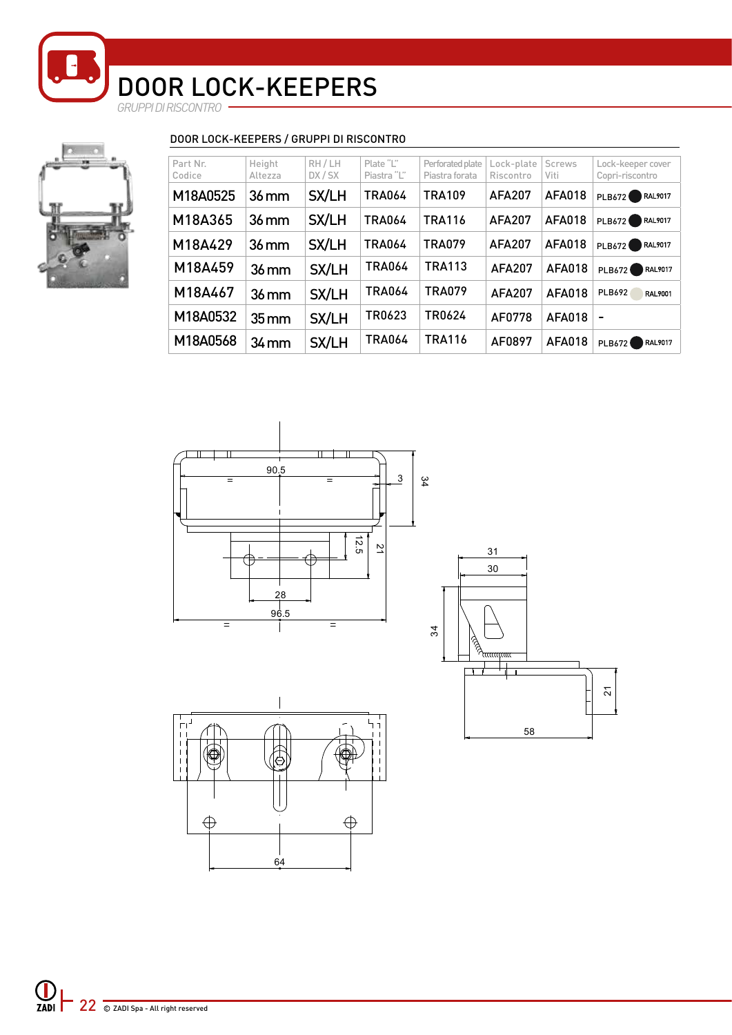*GRUPPI DI RISCONTRO*



#### DOOR LOCK-KEEPERS / GRUPPI DI RISCONTRO

| Part Nr.<br>Codice | Height<br>Altezza  | RH/LH<br>DX / SX | Plate "L"<br>Piastra "L" | Perforated plate<br>Piastra forata | Lock-plate<br>Riscontro | <b>Screws</b><br>Viti | Lock-keeper cover<br>Copri-riscontro |
|--------------------|--------------------|------------------|--------------------------|------------------------------------|-------------------------|-----------------------|--------------------------------------|
| M18A0525           | $36$ mm            | SX/LH            | <b>TRA064</b>            | <b>TRA109</b>                      | <b>AFA207</b>           | <b>AFA018</b>         | PLB672<br>RAL9017                    |
| M18A365            | $36$ mm            | SX/LH            | <b>TRA064</b>            | <b>TRA116</b>                      | <b>AFA207</b>           | <b>AFA018</b>         | RAL9017<br>PLB672                    |
| M18A429            | $36$ mm            | SX/LH            | <b>TRA064</b>            | <b>TRA079</b>                      | <b>AFA207</b>           | <b>AFA018</b>         | RAL9017<br>PLB672                    |
| M18A459            | $36$ mm            | SX/LH            | <b>TRA064</b>            | <b>TRA113</b>                      | <b>AFA207</b>           | AFA018                | <b>RAL9017</b><br><b>PLB672</b>      |
| M18A467            | $36$ mm            | SX/LH            | <b>TRA064</b>            | <b>TRA079</b>                      | <b>AFA207</b>           | <b>AFA018</b>         | PLB692<br>RAL9001                    |
| M18A0532           | $35 \,\mathrm{mm}$ | SX/LH            | TR0623                   | TR0624                             | AF0778                  | AFA018                |                                      |
| M18A0568           | $34$ mm            | SX/LH            | <b>TRA064</b>            | <b>TRA116</b>                      | AF0897                  | <b>AFA018</b>         | <b>RAL9017</b><br><b>PLB672</b>      |